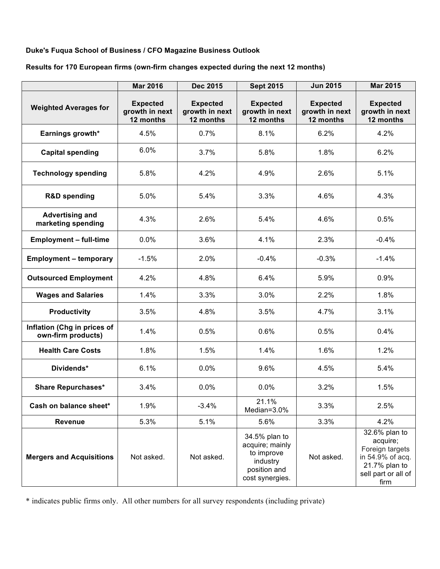## **Duke's Fuqua School of Business / CFO Magazine Business Outlook**

## **Results for 170 European firms (own-firm changes expected during the next 12 months)**

|                                                   | <b>Mar 2016</b>                                | Dec 2015                                       | <b>Sept 2015</b>                                                                              | <b>Jun 2015</b>                                | <b>Mar 2015</b>                                                                                                  |
|---------------------------------------------------|------------------------------------------------|------------------------------------------------|-----------------------------------------------------------------------------------------------|------------------------------------------------|------------------------------------------------------------------------------------------------------------------|
| <b>Weighted Averages for</b>                      | <b>Expected</b><br>growth in next<br>12 months | <b>Expected</b><br>growth in next<br>12 months | <b>Expected</b><br>growth in next<br>12 months                                                | <b>Expected</b><br>growth in next<br>12 months | <b>Expected</b><br>growth in next<br>12 months                                                                   |
| Earnings growth*                                  | 4.5%                                           | 0.7%                                           | 8.1%                                                                                          | 6.2%                                           | 4.2%                                                                                                             |
| <b>Capital spending</b>                           | 6.0%                                           | 3.7%                                           | 5.8%                                                                                          | 1.8%                                           | 6.2%                                                                                                             |
| <b>Technology spending</b>                        | 5.8%                                           | 4.2%                                           | 4.9%                                                                                          | 2.6%                                           | 5.1%                                                                                                             |
| <b>R&amp;D spending</b>                           | 5.0%                                           | 5.4%                                           | 3.3%                                                                                          | 4.6%                                           | 4.3%                                                                                                             |
| <b>Advertising and</b><br>marketing spending      | 4.3%                                           | 2.6%                                           | 5.4%                                                                                          | 4.6%                                           | 0.5%                                                                                                             |
| <b>Employment - full-time</b>                     | 0.0%                                           | 3.6%                                           | 4.1%                                                                                          | 2.3%                                           | $-0.4%$                                                                                                          |
| <b>Employment - temporary</b>                     | $-1.5%$                                        | 2.0%                                           | $-0.4%$                                                                                       | $-0.3%$                                        | $-1.4%$                                                                                                          |
| <b>Outsourced Employment</b>                      | 4.2%                                           | 4.8%                                           | 6.4%                                                                                          | 5.9%                                           | 0.9%                                                                                                             |
| <b>Wages and Salaries</b>                         | 1.4%                                           | 3.3%                                           | 3.0%                                                                                          | 2.2%                                           | 1.8%                                                                                                             |
| <b>Productivity</b>                               | 3.5%                                           | 4.8%                                           | 3.5%                                                                                          | 4.7%                                           | 3.1%                                                                                                             |
| Inflation (Chg in prices of<br>own-firm products) | 1.4%                                           | 0.5%                                           | 0.6%                                                                                          | 0.5%                                           | 0.4%                                                                                                             |
| <b>Health Care Costs</b>                          | 1.8%                                           | 1.5%                                           | 1.4%                                                                                          | 1.6%                                           | 1.2%                                                                                                             |
| Dividends*                                        | 6.1%                                           | 0.0%                                           | 9.6%                                                                                          | 4.5%                                           | 5.4%                                                                                                             |
| <b>Share Repurchases*</b>                         | 3.4%                                           | 0.0%                                           | 0.0%                                                                                          | 3.2%                                           | 1.5%                                                                                                             |
| Cash on balance sheet*                            | 1.9%                                           | $-3.4%$                                        | 21.1%<br>Median=3.0%                                                                          | 3.3%                                           | 2.5%                                                                                                             |
| <b>Revenue</b>                                    | 5.3%                                           | 5.1%                                           | 5.6%                                                                                          | 3.3%                                           | 4.2%                                                                                                             |
| <b>Mergers and Acquisitions</b>                   | Not asked.                                     | Not asked.                                     | 34.5% plan to<br>acquire; mainly<br>to improve<br>industry<br>position and<br>cost synergies. | Not asked.                                     | 32.6% plan to<br>acquire;<br>Foreign targets<br>in 54.9% of acq.<br>21.7% plan to<br>sell part or all of<br>firm |

\* indicates public firms only. All other numbers for all survey respondents (including private)